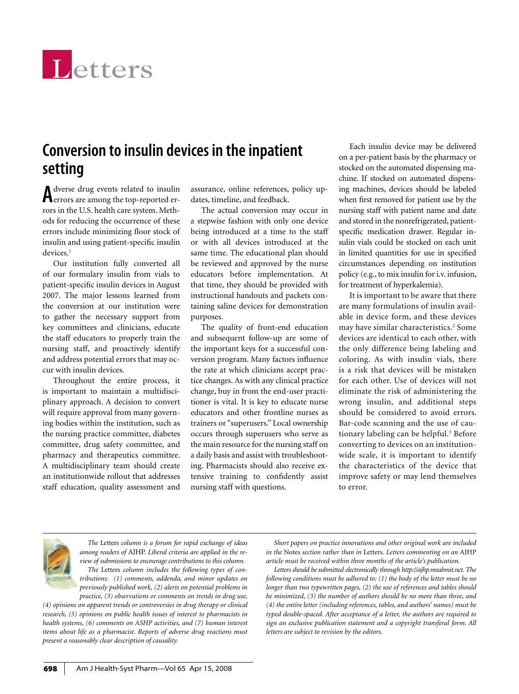

## **Conversion to insulin devices in the inpatient setting**

Adverse drug events related to insulin<br>Aerrors are among the top-reported errors in the U.S. health care system. Methods for reducing the occurrence of these errors include minimizing floor stock of insulin and using patient-specific insulin devices.<sup>1</sup>

Our institution fully converted all of our formulary insulin from vials to patient-specific insulin devices in August 2007. The major lessons learned from the conversion at our institution were to gather the necessary support from key committees and clinicians, educate the staff educators to properly train the nursing staff, and proactively identify and address potential errors that may occur with insulin devices.

Throughout the entire process, it is important to maintain a multidisciplinary approach. A decision to convert will require approval from many governing bodies within the institution, such as the nursing practice committee, diabetes committee, drug safety committee, and pharmacy and therapeutics committee. A multidisciplinary team should create an institutionwide rollout that addresses staff education, quality assessment and

assurance, online references, policy updates, timeline, and feedback.

The actual conversion may occur in a stepwise fashion with only one device being introduced at a time to the staff or with all devices introduced at the same time. The educational plan should be reviewed and approved by the nurse educators before implementation. At that time, they should be provided with instructional handouts and packets containing saline devices for demonstration purposes.

The quality of front-end education and subsequent follow-up are some of the important keys for a successful conversion program. Many factors influence the rate at which clinicians accept practice changes. As with any clinical practice change, buy in from the end-user practitioner is vital. It is key to educate nurse educators and other frontline nurses as trainers or "superusers." Local ownership occurs through superusers who serve as the main resource for the nursing staff on a daily basis and assist with troubleshooting. Pharmacists should also receive extensive training to confidently assist nursing staff with questions.

Each insulin device may be delivered on a per-patient basis by the pharmacy or stocked on the automated dispensing machine. If stocked on automated dispensing machines, devices should be labeled when first removed for patient use by the nursing staff with patient name and date and stored in the nonrefrigerated, patientspecific medication drawer. Regular insulin vials could be stocked on each unit in limited quantities for use in specified circumstances depending on institution policy (e.g., to mix insulin for i.v. infusion, for treatment of hyperkalemia).

It is important to be aware that there are many formulations of insulin available in device form, and these devices may have similar characteristics.2 Some devices are identical to each other, with the only difference being labeling and coloring. As with insulin vials, there is a risk that devices will be mistaken for each other. Use of devices will not eliminate the risk of administering the wrong insulin, and additional steps should be considered to avoid errors. Bar-code scanning and the use of cautionary labeling can be helpful.<sup>3</sup> Before converting to devices on an institutionwide scale, it is important to identify the characteristics of the device that improve safety or may lend themselves to error.



*The* Letters *column is a forum for rapid exchange of ideas among readers of* AJHP. *Liberal criteria are applied in the review of submissions to encourage contributions to this column. The* Letters *column includes the following types of contributions: (1) comments, addenda, and minor updates on previously published work, (2) alerts on potential problems in practice, (3) observations or comments on trends in drug use,* 

*(4) opinions on apparent trends or controversies in drug therapy or clinical research, (5) opinions on public health issues of interest to pharmacists in health systems, (6) comments on ASHP activities, and (7) human interest items about life as a pharmacist. Reports of adverse drug reactions must present a reasonably clear description of causality.*

*Short papers on practice innovations and other original work are included in the* Notes *section rather than in* Letters. *Letters commenting on an* AJHP *article must be received within three months of the article's publication.*

*Letters should be submitted electronically through http://ajhp.msubmit.net. The following conditions must be adhered to: (1) the body of the letter must be no longer than two typewritten pages, (2) the use of references and tables should be minimized, (3) the number of authors should be no more than three, and (4) the entire letter (including references, tables, and authors' names) must be typed double-spaced. After acceptance of a letter, the authors are required to sign an exclusive publication statement and a copyright transferal form. All letters are subject to revision by the editors.*